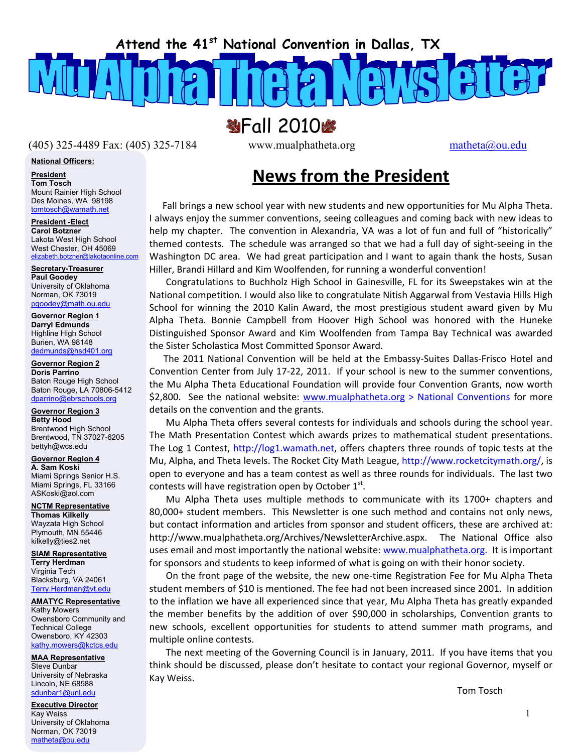**Attend the 41st National Convention in Dallas, TX** 

**MPall 2010峰** 

(405) 325-4489 Fax: (405) 325-7184 www.mualphatheta.org matheta@ou.edu

**National Officers:**

**President**

**Tom Tosch**  Mount Rainier High School Des Moines, WA 98198 tomtosch@wamath.net

**President -Elect Carol Botzner**  Lakota West High School West Chester, OH 45069<br>elizabeth.botzner@lakotaonline.com elizabeth.botzner

**Secretary-Treasurer Paul Goodey**  University of Oklahoma Norman, OK 73019 pgoodey@math.ou.edu

**Governor Region 1 Darryl Edmunds**  Highline High School Burien, WA 98148 dedmunds@hsd401.org

 Baton Rouge High School **Governor Region 2 Doris Parrino**  Baton Rouge, LA 70806-5412 dparrino@ebrschools.org

**Governor Region 3 Betty Hood**  Brentwood High School Brentwood, TN 37027-6205 bettyh@wcs.edu

**Governor Region 4 A. Sam Koski**  Miami Springs Senior H.S. Miami Springs, FL 33166 ASKoski@aol.com

**NCTM Representative Thomas Kilkelly**  Wayzata High School Plymouth, MN 55446 kilkelly@ties2.net

**SIAM Representative Terry Herdman**  Virginia Tech Blacksburg, VA 24061 Terry.Herdman@vt.edu

**AMATYC Representative**

Kathy Mowers Owensboro Community and Technical College Owensboro, KY 42303 kathy.mowers@kctcs.edu

#### **MAA Representative** Steve Dunbar

University of Nebraska Lincoln, NE 68588 sdunbar1@unl.edu

**Executive Director** Kay Weiss University of Oklahoma Norman, OK 73019 matheta@ou.edu

# **News from the President**

 Fall brings a new school year with new students and new opportunities for Mu Alpha Theta. I always enjoy the summer conventions, seeing colleagues and coming back with new ideas to help my chapter. The convention in Alexandria, VA was a lot of fun and full of "historically" themed contests. The schedule was arranged so that we had a full day of sight‐seeing in the Washington DC area. We had great participation and I want to again thank the hosts, Susan Hiller, Brandi Hillard and Kim Woolfenden, for running a wonderful convention!

 Congratulations to Buchholz High School in Gainesville, FL for its Sweepstakes win at the National competition. I would also like to congratulate Nitish Aggarwal from Vestavia Hills High School for winning the 2010 Kalin Award, the most prestigious student award given by Mu Alpha Theta. Bonnie Campbell from Hoover High School was honored with the Huneke Distinguished Sponsor Award and Kim Woolfenden from Tampa Bay Technical was awarded the Sister Scholastica Most Committed Sponsor Award.

 The 2011 National Convention will be held at the Embassy‐Suites Dallas‐Frisco Hotel and Convention Center from July 17‐22, 2011. If your school is new to the summer conventions, the Mu Alpha Theta Educational Foundation will provide four Convention Grants, now worth \$2,800. See the national website: www.mualphatheta.org > National Conventions for more details on the convention and the grants.

 Mu Alpha Theta offers several contests for individuals and schools during the school year. The Math Presentation Contest which awards prizes to mathematical student presentations. The Log 1 Contest, http://log1.wamath.net, offers chapters three rounds of topic tests at the Mu, Alpha, and Theta levels. The Rocket City Math League, http://www.rocketcitymath.org/, is open to everyone and has a team contest as well as three rounds for individuals. The last two contests will have registration open by October  $1<sup>st</sup>$ .

 Mu Alpha Theta uses multiple methods to communicate with its 1700+ chapters and 80,000+ student members. This Newsletter is one such method and contains not only news, but contact information and articles from sponsor and student officers, these are archived at: http://www.mualphatheta.org/Archives/NewsletterArchive.aspx. The National Office also uses email and most importantly the national website: www.mualphatheta.org. It is important for sponsors and students to keep informed of what is going on with their honor society.

 On the front page of the website, the new one‐time Registration Fee for Mu Alpha Theta student members of \$10 is mentioned. The fee had not been increased since 2001. In addition to the inflation we have all experienced since that year, Mu Alpha Theta has greatly expanded the member benefits by the addition of over \$90,000 in scholarships, Convention grants to new schools, excellent opportunities for students to attend summer math programs, and multiple online contests.

 The next meeting of the Governing Council is in January, 2011. If you have items that you think should be discussed, please don't hesitate to contact your regional Governor, myself or Kay Weiss.

Tom Tosch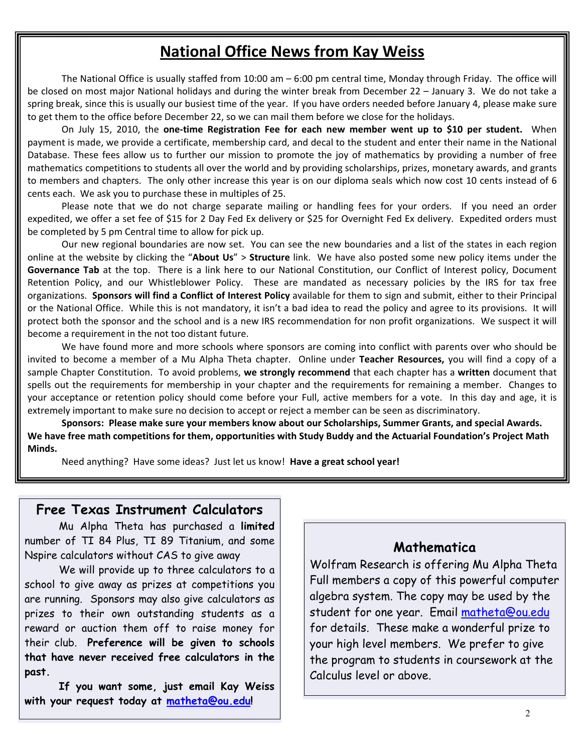# **National Office News from Kay Weiss**

The National Office is usually staffed from 10:00 am – 6:00 pm central time, Monday through Friday. The office will be closed on most major National holidays and during the winter break from December 22 – January 3. We do not take a spring break, since this is usually our busiest time of the year. If you have orders needed before January 4, please make sure to get them to the office before December 22, so we can mail them before we close for the holidays.

On July 15, 2010, the **one‐time Registration Fee for each new member went up to \$10 per student.** When payment is made, we provide a certificate, membership card, and decal to the student and enter their name in the National Database. These fees allow us to further our mission to promote the joy of mathematics by providing a number of free mathematics competitions to students all over the world and by providing scholarships, prizes, monetary awards, and grants to members and chapters. The only other increase this year is on our diploma seals which now cost 10 cents instead of 6 cents each. We ask you to purchase these in multiples of 25.

 Please note that we do not charge separate mailing or handling fees for your orders. If you need an order expedited, we offer a set fee of \$15 for 2 Day Fed Ex delivery or \$25 for Overnight Fed Ex delivery. Expedited orders must be completed by 5 pm Central time to allow for pick up.

Our new regional boundaries are now set. You can see the new boundaries and a list of the states in each region online at the website by clicking the "**About Us**" > **Structure** link. We have also posted some new policy items under the **Governance Tab** at the top. There is a link here to our National Constitution, our Conflict of Interest policy, Document Retention Policy, and our Whistleblower Policy. These are mandated as necessary policies by the IRS for tax free organizations. **Sponsors will find a Conflict of Interest Policy** available for them to sign and submit, either to their Principal or the National Office. While this is not mandatory, it isn't a bad idea to read the policy and agree to its provisions. It will protect both the sponsor and the school and is a new IRS recommendation for non profit organizations. We suspect it will become a requirement in the not too distant future.

We have found more and more schools where sponsors are coming into conflict with parents over who should be invited to become a member of a Mu Alpha Theta chapter. Online under **Teacher Resources,** you will find a copy of a sample Chapter Constitution. To avoid problems, **we strongly recommend** that each chapter has a **written** document that spells out the requirements for membership in your chapter and the requirements for remaining a member. Changes to your acceptance or retention policy should come before your Full, active members for a vote. In this day and age, it is extremely important to make sure no decision to accept or reject a member can be seen as discriminatory.

**Sponsors: Please make sure your members know about our Scholarships, Summer Grants, and special Awards. We have free math competitions for them, opportunities with Study Buddy and the Actuarial Foundation's Project Math Minds.** 

Need anything? Have some ideas? Just let us know! **Have a great school year!** 

#### **Free Texas Instrument Calculators**

Mu Alpha Theta has purchased a **limited** number of TI 84 Plus, TI 89 Titanium, and some Nspire calculators without CAS to give away

We will provide up to three calculators to a school to give away as prizes at competitions you are running. Sponsors may also give calculators as prizes to their own outstanding students as a reward or auction them off to raise money for their club. **Preference will be given to schools that have never received free calculators in the past.**

 **with your request today at matheta@ou.edu! If you want some, just email Kay Weiss** 

#### **Mathematica**

Wolfram Research is offering Mu Alpha Theta Full members a copy of this powerful computer algebra system. The copy may be used by the student for one year. Email matheta@ou.edu for details. These make a wonderful prize to your high level members. We prefer to give the program to students in coursework at the Calculus level or above.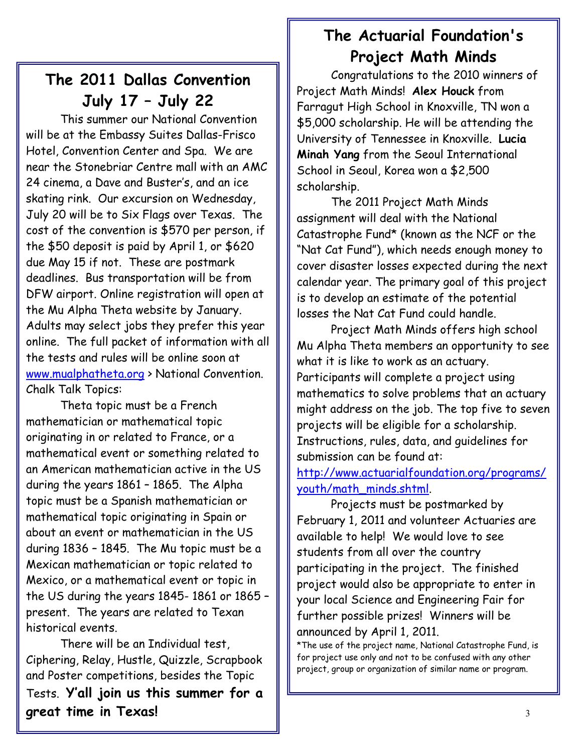# **The 2011 Dallas Convention July 17 – July 22**

 This summer our National Convention will be at the Embassy Suites Dallas-Frisco Hotel, Convention Center and Spa. We are near the Stonebriar Centre mall with an AMC 24 cinema, a Dave and Buster's, and an ice skating rink. Our excursion on Wednesday, July 20 will be to Six Flags over Texas. The cost of the convention is \$570 per person, if the \$50 deposit is paid by April 1, or \$620 due May 15 if not. These are postmark deadlines. Bus transportation will be from DFW airport. Online registration will open at the Mu Alpha Theta website by January. Adults may select jobs they prefer this year online. The full packet of information with all the tests and rules will be online soon at www.mualphatheta.org > National Convention. Chalk Talk Topics:

Theta topic must be a French mathematician or mathematical topic originating in or related to France, or a mathematical event or something related to an American mathematician active in the US during the years 1861 – 1865. The Alpha topic must be a Spanish mathematician or mathematical topic originating in Spain or about an event or mathematician in the US during 1836 – 1845. The Mu topic must be a Mexican mathematician or topic related to Mexico, or a mathematical event or topic in the US during the years 1845- 1861 or 1865 – present. The years are related to Texan historical events.

There will be an Individual test, Ciphering, Relay, Hustle, Quizzle, Scrapbook and Poster competitions, besides the Topic Tests. **Y'all join us this summer for a great time in Texas!** 

# **The Actuarial Foundation's Project Math Minds**

Congratulations to the 2010 winners of Project Math Minds! **Alex Houck** from Farragut High School in Knoxville, TN won a \$5,000 scholarship. He will be attending the University of Tennessee in Knoxville. **Lucia Minah Yang** from the Seoul International School in Seoul, Korea won a \$2,500 scholarship.

I

I I

I I

I I

The 2011 Project Math Minds assignment will deal with the National Catastrophe Fund\* (known as the NCF or the "Nat Cat Fund"), which needs enough money to cover disaster losses expected during the next calendar year. The primary goal of this project is to develop an estimate of the potential losses the Nat Cat Fund could handle.

Project Math Minds offers high school Mu Alpha Theta members an opportunity to see what it is like to work as an actuary. Participants will complete a project using mathematics to solve problems that an actuary might address on the job. The top five to seven projects will be eligible for a scholarship. Instructions, rules, data, and guidelines for submission can be found at:

http://www.actuarialfoundation.org/programs/ youth/math\_minds.shtml.

Projects must be postmarked by February 1, 2011 and volunteer Actuaries are available to help! We would love to see students from all over the country participating in the project. The finished project would also be appropriate to enter in your local Science and Engineering Fair for further possible prizes! Winners will be announced by April 1, 2011.

\*The use of the project name, National Catastrophe Fund, is for project use only and not to be confused with any other project, group or organization of similar name or program.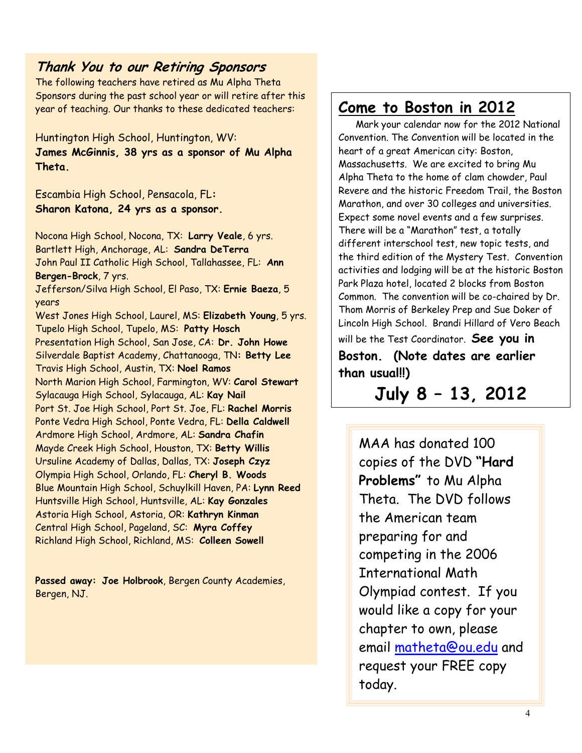#### **Thank You to our Retiring Sponsors**

The following teachers have retired as Mu Alpha Theta Sponsors during the past school year or will retire after this year of teaching. Our thanks to these dedicated teachers:

Huntington High School, Huntington, WV: **James McGinnis, 38 yrs as a sponsor of Mu Alpha Theta.** 

Escambia High School, Pensacola, FL**: Sharon Katona, 24 yrs as a sponsor.** 

Nocona High School, Nocona, TX: **Larry Veale**, 6 yrs. Bartlett High, Anchorage, AL: **Sandra DeTerra** John Paul II Catholic High School, Tallahassee, FL: **Ann Bergen-Brock**, 7 yrs. Jefferson/Silva High School, El Paso, TX: **Ernie Baeza**, 5 years West Jones High School, Laurel, MS: **Elizabeth Young**, 5 yrs. Tupelo High School, Tupelo, MS: **Patty Hosch** Presentation High School, San Jose, CA: **Dr. John Howe**  Silverdale Baptist Academy, Chattanooga, TN**: Betty Lee** Travis High School, Austin, TX: **Noel Ramos** North Marion High School, Farmington, WV: **Carol Stewart** Sylacauga High School, Sylacauga, AL: **Kay Nail** Port St. Joe High School, Port St. Joe, FL: **Rachel Morris** Ponte Vedra High School, Ponte Vedra, FL: **Della Caldwell** Ardmore High School, Ardmore, AL: **Sandra Chafin** Mayde Creek High School, Houston, TX: **Betty Willis** Ursuline Academy of Dallas, Dallas, TX: **Joseph Czyz** Olympia High School, Orlando, FL: **Cheryl B. Woods** Blue Mountain High School, Schuylkill Haven, PA: **Lynn Reed**  Huntsville High School, Huntsville, AL: **Kay Gonzales** Astoria High School, Astoria, OR: **Kathryn Kinman** Central High School, Pageland, SC: **Myra Coffey** Richland High School, Richland, MS: **Colleen Sowell**

**Passed away: Joe Holbrook**, Bergen County Academies, Bergen, NJ.

## **Come to Boston in 2012**

 Mark your calendar now for the 2012 National Convention. The Convention will be located in the heart of a great American city: Boston, Massachusetts. We are excited to bring Mu Alpha Theta to the home of clam chowder, Paul Revere and the historic Freedom Trail, the Boston Marathon, and over 30 colleges and universities. Expect some novel events and a few surprises. There will be a "Marathon" test, a totally different interschool test, new topic tests, and the third edition of the Mystery Test. Convention activities and lodging will be at the historic Boston Park Plaza hotel, located 2 blocks from Boston Common. The convention will be co-chaired by Dr. Thom Morris of Berkeley Prep and Sue Doker of Lincoln High School. Brandi Hillard of Vero Beach

will be the Test Coordinator. **See you in Boston. (Note dates are earlier than usual!!)**

**July 8 – 13, 2012**

MAA has donated 100 copies of the DVD **"Hard Problems"** to Mu Alpha Theta. The DVD follows the American team preparing for and competing in the 2006 International Math Olympiad contest. If you would like a copy for your chapter to own, please email matheta@ou.edu and request your FREE copy today.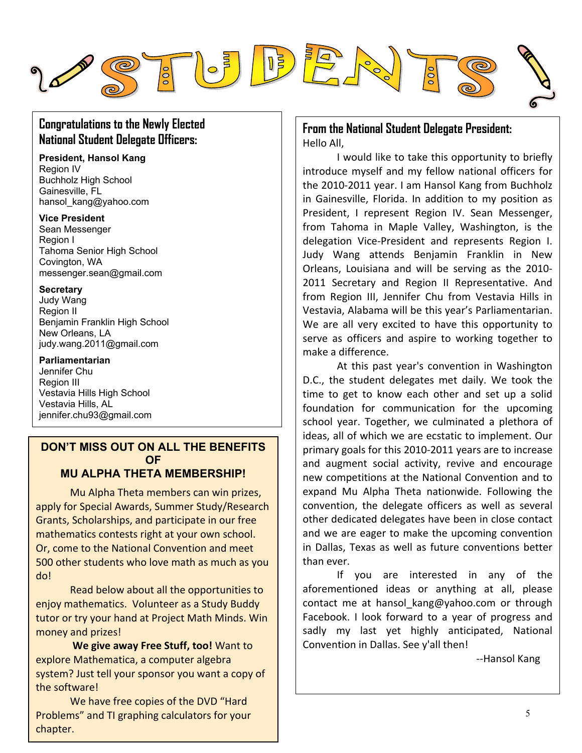

## **Congratulations to the Newly Elected National Student Delegate Officers:**

**President, Hansol Kang**  Region IV Buchholz High School Gainesville, FL hansol\_kang@yahoo.com

**Vice President**  Sean Messenger Region I Tahoma Senior High School Covington, WA messenger.sean@gmail.com

#### **Secretary**

Judy Wang Region II Benjamin Franklin High School New Orleans, LA judy.wang.2011@gmail.com

**Parliamentarian** 

Jennifer Chu Region III Vestavia Hills High School Vestavia Hills, AL jennifer.chu93@gmail.com

## **DON'T MISS OUT ON ALL THE BENEFITS OF**

## **MU ALPHA THETA MEMBERSHIP!**

Mu Alpha Theta members can win prizes, apply for Special Awards, Summer Study/Research Grants, Scholarships, and participate in our free mathematics contests right at your own school. Or, come to the National Convention and meet 500 other students who love math as much as you do!

Read below about all the opportunities to enjoy mathematics. Volunteer as a Study Buddy tutor or try your hand at Project Math Minds. Win money and prizes!

**We give away Free Stuff, too!** Want to explore Mathematica, a computer algebra system? Just tell your sponsor you want a copy of the software!

We have free copies of the DVD "Hard Problems" and TI graphing calculators for your chapter.

#### **From the National Student Delegate President:**  Hello All,

I would like to take this opportunity to briefly introduce myself and my fellow national officers for the 2010‐2011 year. I am Hansol Kang from Buchholz in Gainesville, Florida. In addition to my position as President, I represent Region IV. Sean Messenger, from Tahoma in Maple Valley, Washington, is the delegation Vice‐President and represents Region I. Judy Wang attends Benjamin Franklin in New Orleans, Louisiana and will be serving as the 2010‐ 2011 Secretary and Region II Representative. And from Region III, Jennifer Chu from Vestavia Hills in Vestavia, Alabama will be this year's Parliamentarian. We are all very excited to have this opportunity to serve as officers and aspire to working together to make a difference.

At this past year's convention in Washington D.C., the student delegates met daily. We took the time to get to know each other and set up a solid foundation for communication for the upcoming school year. Together, we culminated a plethora of ideas, all of which we are ecstatic to implement. Our primary goals for this 2010‐2011 years are to increase and augment social activity, revive and encourage new competitions at the National Convention and to expand Mu Alpha Theta nationwide. Following the convention, the delegate officers as well as several other dedicated delegates have been in close contact and we are eager to make the upcoming convention in Dallas, Texas as well as future conventions better than ever.

If you are interested in any of the aforementioned ideas or anything at all, please contact me at hansol kang@yahoo.com or through Facebook. I look forward to a year of progress and sadly my last yet highly anticipated, National Convention in Dallas. See y'all then!

‐‐Hansol Kang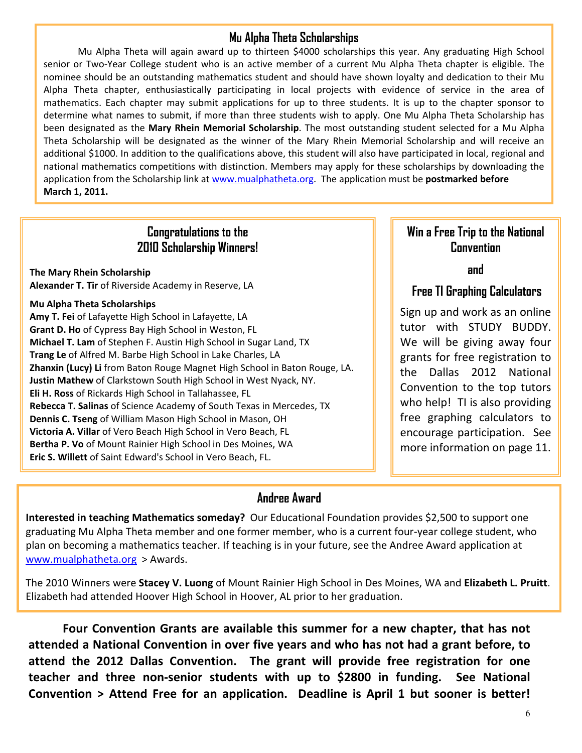#### **Mu Alpha Theta Scholarships**

Mu Alpha Theta will again award up to thirteen \$4000 scholarships this year. Any graduating High School senior or Two-Year College student who is an active member of a current Mu Alpha Theta chapter is eligible. The nominee should be an outstanding mathematics student and should have shown loyalty and dedication to their Mu Alpha Theta chapter, enthusiastically participating in local projects with evidence of service in the area of mathematics. Each chapter may submit applications for up to three students. It is up to the chapter sponsor to determine what names to submit, if more than three students wish to apply. One Mu Alpha Theta Scholarship has been designated as the **Mary Rhein Memorial Scholarship**. The most outstanding student selected for a Mu Alpha Theta Scholarship will be designated as the winner of the Mary Rhein Memorial Scholarship and will receive an additional \$1000. In addition to the qualifications above, this student will also have participated in local, regional and national mathematics competitions with distinction. Members may apply for these scholarships by downloading the application from the Scholarship link at www.mualphatheta.org. The application must be **postmarked before March 1, 2011.**

#### **Congratulations to the 2010 Scholarship Winners!**

**The Mary Rhein Scholarship Alexander T. Tir** of Riverside Academy in Reserve, LA

#### **Mu Alpha Theta Scholarships**

**Amy T. Fei** of Lafayette High School in Lafayette, LA **Grant D. Ho** of Cypress Bay High School in Weston, FL **Michael T. Lam** of Stephen F. Austin High School in Sugar Land, TX **Trang Le** of Alfred M. Barbe High School in Lake Charles, LA **Zhanxin (Lucy) Li** from Baton Rouge Magnet High School in Baton Rouge, LA. **Justin Mathew** of Clarkstown South High School in West Nyack, NY. **Eli H. Ross** of Rickards High School in Tallahassee, FL **Rebecca T. Salinas** of Science Academy of South Texas in Mercedes, TX **Dennis C. Tseng** of William Mason High School in Mason, OH **Victoria A. Villar** of Vero Beach High School in Vero Beach, FL **Bertha P. Vo** of Mount Rainier High School in Des Moines, WA **Eric S. Willett** of Saint Edward's School in Vero Beach, FL.

#### **Win a Free Trip to the National Convention**

**and** 

## **Free TI Graphing Calculators**

Sign up and work as an online tutor with STUDY BUDDY. We will be giving away four grants for free registration to the Dallas 2012 National Convention to the top tutors who help! TI is also providing free graphing calculators to encourage participation. See more information on page 11.

#### **Andree Award**

**Interested in teaching Mathematics someday?** Our Educational Foundation provides \$2,500 to support one graduating Mu Alpha Theta member and one former member, who is a current four‐year college student, who plan on becoming a mathematics teacher. If teaching is in your future, see the Andree Award application at www.mualphatheta.org > Awards.

The 2010 Winners were **Stacey V. Luong** of Mount Rainier High School in Des Moines, WA and **Elizabeth L. Pruitt**. Elizabeth had attended Hoover High School in Hoover, AL prior to her graduation.

**Four Convention Grants are available this summer for a new chapter, that has not attended a National Convention in over five years and who has not had a grant before, to attend the 2012 Dallas Convention. The grant will provide free registration for one teacher and three non‐senior students with up to \$2800 in funding. See National Convention > Attend Free for an application. Deadline is April 1 but sooner is better!**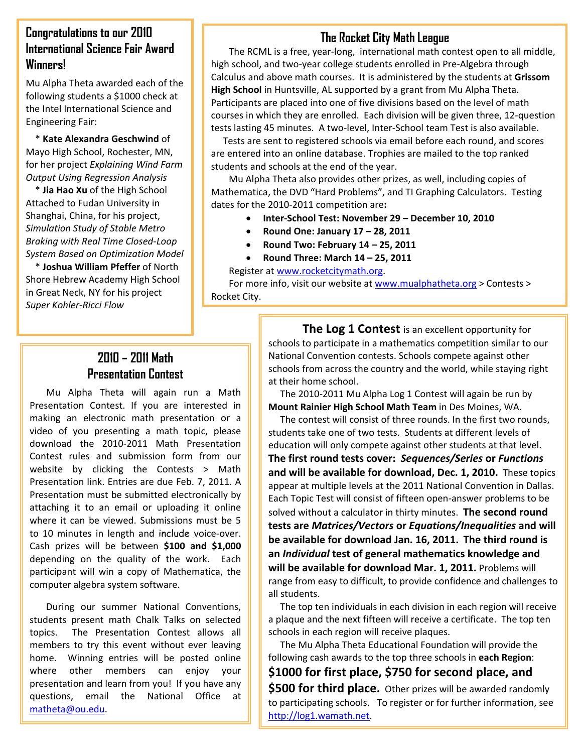#### **Congratulations to our 2010 International Science Fair Award Winners!**

Mu Alpha Theta awarded each of the following students a \$1000 check at the Intel International Science and Engineering Fair:

 for her project *Explaining Wind Farm Output Using Regression Analysis* \* **Kate Alexandra Geschwind** of Mayo High School, Rochester, MN,

 \* **Jia Hao Xu** of the High School Attached to Fudan University in Shanghai, China, for his project, *Simulation Study of Stable Metro Braking with Real Time Closed‐Loop System Based on Optimization Model*

 \* **Joshua William Pfeffer** of North Shore Hebrew Academy High School in Great Neck, NY for his project *Super Kohler‐Ricci Flow*

## **The Rocket City Math League**

The RCML is a free, year-long, international math contest open to all middle, high school, and two‐year college students enrolled in Pre‐Algebra through Calculus and above math courses. It is administered by the students at **Grissom High School** in Huntsville, AL supported by a grant from Mu Alpha Theta. Participants are placed into one of five divisions based on the level of math courses in which they are enrolled. Each division will be given three, 12‐question tests lasting 45 minutes. A two‐level, Inter‐School team Test is also available.

 Tests are sent to registered schools via email before each round, and scores are entered into an online database. Trophies are mailed to the top ranked students and schools at the end of the year.

Mu Alpha Theta also provides other prizes, as well, including copies of Mathematica, the DVD "Hard Problems", and TI Graphing Calculators. Testing dates for the 2010‐2011 competition are**:** 

- **Inter‐School Test: November 29 December 10, 2010**
- **Round One: January 17 28, 2011**
- **Round Two: February 14 25, 2011**
- **Round Three: March 14 25, 2011**

Register at www.rocketcitymath.org.

For more info, visit our website at www.mualphatheta.org > Contests > Rocket City.

#### **2010 – 2011 Math Presentation Contest**

 $\overline{a}$ website by clicking the Contests > Math Mu Alpha Theta will again run a Math Presentation Contest. If you are interested in making an electronic math presentation or a video of you presenting a math topic, please download the 2010‐2011 Math Presentation Contest rules and submission form from our Presentation link. Entries are due Feb. 7, 2011. A Presentation must be submitted electronically by attaching it to an email or uploading it online where it can be viewed. Submissions must be 5 to 10 minutes in length and include voice‐over. Cash prizes will be between **\$100 and \$1,000** depending on the quality of the work. Each participant will win a copy of Mathematica, the computer algebra system software.

 During our summer National Conventions, students present math Chalk Talks on selected topics. The Presentation Contest allows all members to try this event without ever leaving home. Winning entries will be posted online where other members can enjoy your presentation and learn from you! If you have any questions, email the National Office at matheta@ou.edu.

**The Log 1 Contest** is an excellent opportunity for schools to participate in a mathematics competition similar to our National Convention contests. Schools compete against other schools from across the country and the world, while staying right at their home school.

 The 2010‐2011 Mu Alpha Log 1 Contest will again be run by **Mount Rainier High School Math Team** in Des Moines, WA.

 The contest will consist of three rounds. In the first two rounds, students take one of two tests. Students at different levels of education will only compete against other students at that level. **The first round tests cover:** *Sequences/Series* **or** *Functions* **and will be available for download, Dec. 1, 2010.** These topics appear at multiple levels at the 2011 National Convention in Dallas. Each Topic Test will consist of fifteen open‐answer problems to be solved without a calculator in thirty minutes. **The second round tests are** *Matrices/Vectors* **or** *Equations/Inequalities* **and will be available for download Jan. 16, 2011. The third round is an** *Individual* **test of general mathematics knowledge and will be available for download Mar. 1, 2011.** Problems will range from easy to difficult, to provide confidence and challenges to all students.

 The top ten individuals in each division in each region will receive a plaque and the next fifteen will receive a certificate. The top ten schools in each region will receive plaques.

 The Mu Alpha Theta Educational Foundation will provide the following cash awards to the top three schools in **each Region**: **\$1000 for first place, \$750 for second place, and \$500 for third place.** Other prizes will be awarded randomly to participating schools. To register or for further information, see http://log1.wamath.net.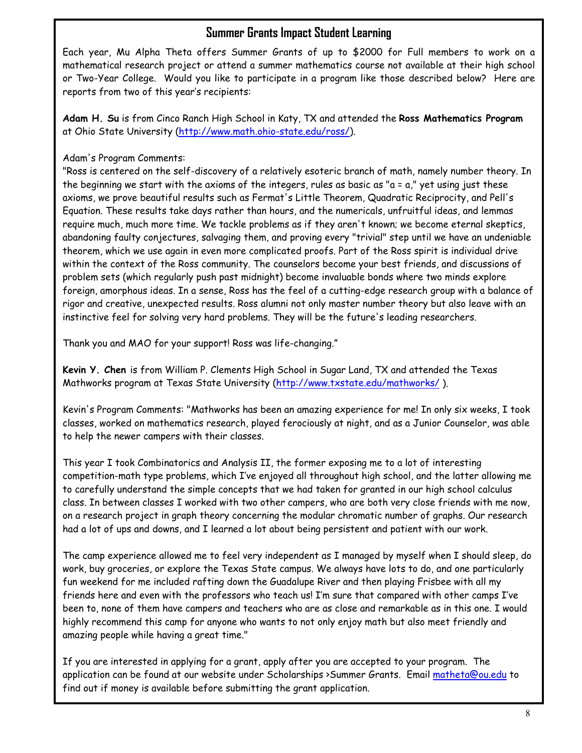#### **Summer Grants Impact Student Learning**

Each year, Mu Alpha Theta offers Summer Grants of up to \$2000 for Full members to work on a mathematical research project or attend a summer mathematics course not available at their high school or Two-Year College. Would you like to participate in a program like those described below? Here are reports from two of this year's recipients:

**Adam H. Su** is from Cinco Ranch High School in Katy, TX and attended the **Ross Mathematics Program** at Ohio State University (http://www.math.ohio-state.edu/ross/).

#### Adam's Program Comments:

"Ross is centered on the self-discovery of a relatively esoteric branch of math, namely number theory. In the beginning we start with the axioms of the integers, rules as basic as "a = a," yet using just these axioms, we prove beautiful results such as Fermat's Little Theorem, Quadratic Reciprocity, and Pell's Equation. These results take days rather than hours, and the numericals, unfruitful ideas, and lemmas require much, much more time. We tackle problems as if they aren't known; we become eternal skeptics, abandoning faulty conjectures, salvaging them, and proving every "trivial" step until we have an undeniable theorem, which we use again in even more complicated proofs. Part of the Ross spirit is individual drive within the context of the Ross community. The counselors become your best friends, and discussions of problem sets (which regularly push past midnight) become invaluable bonds where two minds explore foreign, amorphous ideas. In a sense, Ross has the feel of a cutting-edge research group with a balance of rigor and creative, unexpected results. Ross alumni not only master number theory but also leave with an instinctive feel for solving very hard problems. They will be the future's leading researchers.

Thank you and MAO for your support! Ross was life-changing."

**Kevin Y. Chen** is from William P. Clements High School in Sugar Land, TX and attended the Texas Mathworks program at Texas State University (http://www.txstate.edu/mathworks/ ).

Kevin's Program Comments: "Mathworks has been an amazing experience for me! In only six weeks, I took classes, worked on mathematics research, played ferociously at night, and as a Junior Counselor, was able to help the newer campers with their classes.

This year I took Combinatorics and Analysis II, the former exposing me to a lot of interesting competition-math type problems, which I've enjoyed all throughout high school, and the latter allowing me to carefully understand the simple concepts that we had taken for granted in our high school calculus class. In between classes I worked with two other campers, who are both very close friends with me now, on a research project in graph theory concerning the modular chromatic number of graphs. Our research had a lot of ups and downs, and I learned a lot about being persistent and patient with our work.

The camp experience allowed me to feel very independent as I managed by myself when I should sleep, do work, buy groceries, or explore the Texas State campus. We always have lots to do, and one particularly fun weekend for me included rafting down the Guadalupe River and then playing Frisbee with all my friends here and even with the professors who teach us! I'm sure that compared with other camps I've been to, none of them have campers and teachers who are as close and remarkable as in this one. I would highly recommend this camp for anyone who wants to not only enjoy math but also meet friendly and amazing people while having a great time."

If you are interested in applying for a grant, apply after you are accepted to your program. The application can be found at our website under Scholarships > Summer Grants. Email matheta@ou.edu to find out if money is available before submitting the grant application.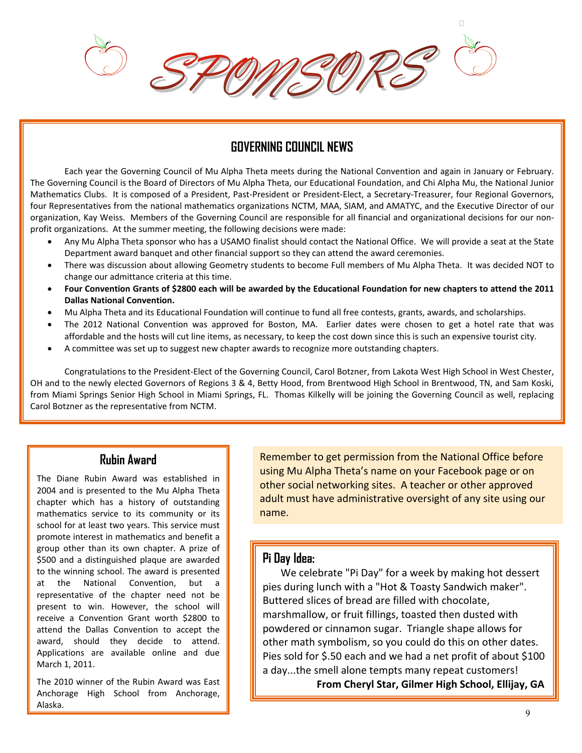п

#### **GOVERNING COUNCIL NEWS**

Each year the Governing Council of Mu Alpha Theta meets during the National Convention and again in January or February. The Governing Council is the Board of Directors of Mu Alpha Theta, our Educational Foundation, and Chi Alpha Mu, the National Junior Mathematics Clubs. It is composed of a President, Past‐President or President‐Elect, a Secretary‐Treasurer, four Regional Governors, four Representatives from the national mathematics organizations NCTM, MAA, SIAM, and AMATYC, and the Executive Director of our organization, Kay Weiss. Members of the Governing Council are responsible for all financial and organizational decisions for our non‐ profit organizations. At the summer meeting, the following decisions were made:

- Any Mu Alpha Theta sponsor who has a USAMO finalist should contact the National Office. We will provide a seat at the State Department award banquet and other financial support so they can attend the award ceremonies.
- There was discussion about allowing Geometry students to become Full members of Mu Alpha Theta. It was decided NOT to change our admittance criteria at this time.
- **Four Convention Grants of \$2800 each will be awarded by the Educational Foundation for new chapters to attend the 2011 Dallas National Convention.**
- Mu Alpha Theta and its Educational Foundation will continue to fund all free contests, grants, awards, and scholarships.
- The 2012 National Convention was approved for Boston, MA. Earlier dates were chosen to get a hotel rate that was affordable and the hosts will cut line items, as necessary, to keep the cost down since this is such an expensive tourist city.
- A committee was set up to suggest new chapter awards to recognize more outstanding chapters.

 Congratulations to the President‐Elect of the Governing Council, Carol Botzner, from Lakota West High School in West Chester, OH and to the newly elected Governors of Regions 3 & 4, Betty Hood, from Brentwood High School in Brentwood, TN, and Sam Koski, from Miami Springs Senior High School in Miami Springs, FL. Thomas Kilkelly will be joining the Governing Council as well, replacing Carol Botzner as the representative from NCTM.

#### **Rubin Award**

The Diane Rubin Award was established in 2004 and is presented to the Mu Alpha Theta chapter which has a history of outstanding mathematics service to its community or its school for at least two years. This service must promote interest in mathematics and benefit a group other than its own chapter. A prize of \$500 and a distinguished plaque are awarded to the winning school. The award is presented at the National Convention, but a representative of the chapter need not be present to win. However, the school will receive a Convention Grant worth \$2800 to attend the Dallas Convention to accept the award, should they decide to attend. Applications are available online and due March 1, 2011.

I I

> The 2010 winner of the Rubin Award was East Anchorage High School from Anchorage, Alaska.

Remember to get permission from the National Office before using Mu Alpha Theta's name on your Facebook page or on other social networking sites. A teacher or other approved adult must have administrative oversight of any site using our name.

#### **Pi Day Idea:**

 We celebrate "Pi Day" for a week by making hot dessert pies during lunch with a "Hot & Toasty Sandwich maker". Buttered slices of bread are filled with chocolate, marshmallow, or fruit fillings, toasted then dusted with powdered or cinnamon sugar. Triangle shape allows for other math symbolism, so you could do this on other dates. Pies sold for \$.50 each and we had a net profit of about \$100 a day...the smell alone tempts many repeat customers!

**From Cheryl Star, Gilmer High School, Ellijay, GA**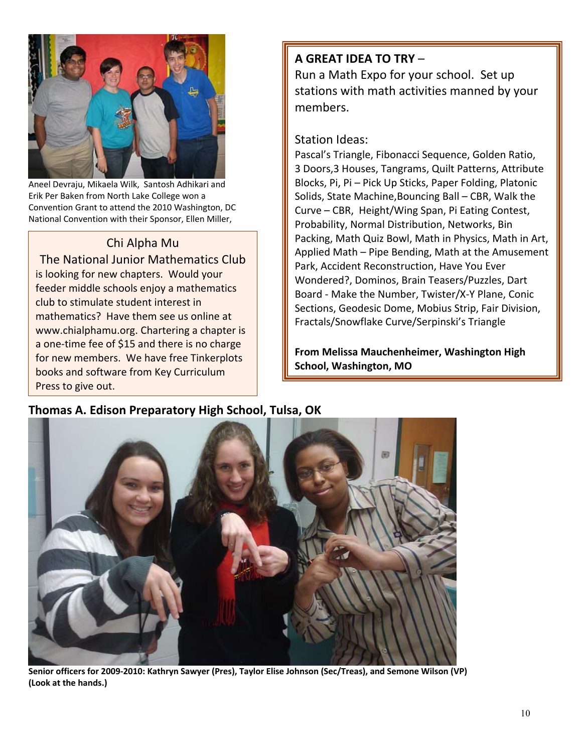

Aneel Devraju, Mikaela Wilk, Santosh Adhikari and Erik Per Baken from North Lake College won a Convention Grant to attend the 2010 Washington, DC National Convention with their Sponsor, Ellen Miller,

Ē

#### Chi Alpha Mu

The National Junior Mathematics Club is looking for new chapters. Would your feeder middle schools enjoy a mathematics club to stimulate student interest in mathematics? Have them see us online at www.chialphamu.org. Chartering a chapter is a one-time fee of \$15 and there is no charge for new members. We have free Tinkerplots books and software from Key Curriculum Press to give out.

## **A GREAT IDEA TO TRY** –

Run a Math Expo for your school. Set up stations with math activities manned by your members.

#### Station Ideas:

Pascal's Triangle, Fibonacci Sequence, Golden Ratio, 3 Doors,3 Houses, Tangrams, Quilt Patterns, Attribute Blocks, Pi, Pi – Pick Up Sticks, Paper Folding, Platonic Solids, State Machine,Bouncing Ball – CBR, Walk the Curve – CBR, Height/Wing Span, Pi Eating Contest, Probability, Normal Distribution, Networks, Bin Packing, Math Quiz Bowl, Math in Physics, Math in Art, Applied Math – Pipe Bending, Math at the Amusement Park, Accident Reconstruction, Have You Ever Wondered?, Dominos, Brain Teasers/Puzzles, Dart Board ‐ Make the Number, Twister/X‐Y Plane, Conic Sections, Geodesic Dome, Mobius Strip, Fair Division, Fractals/Snowflake Curve/Serpinski's Triangle

**From Melissa Mauchenheimer, Washington High School, Washington, MO** 



**Thomas A. Edison Preparatory High School, Tulsa, OK** 

**Senior officers for 2009‐2010: Kathryn Sawyer (Pres), Taylor Elise Johnson (Sec/Treas), and Semone Wilson (VP) (Look at the hands.)**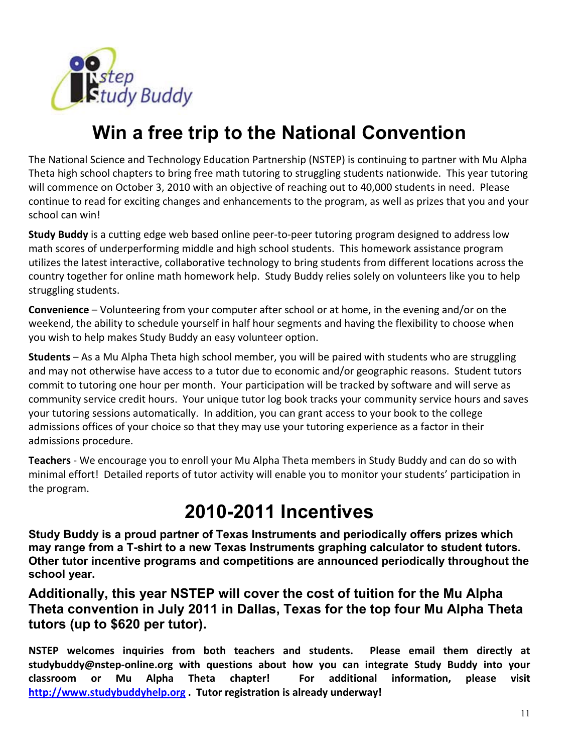

# **Win a free trip to the National Convention**

The National Science and Technology Education Partnership (NSTEP) is continuing to partner with Mu Alpha Theta high school chapters to bring free math tutoring to struggling students nationwide. This year tutoring will commence on October 3, 2010 with an objective of reaching out to 40,000 students in need. Please continue to read for exciting changes and enhancements to the program, as well as prizes that you and your school can win!

**Study Buddy** is a cutting edge web based online peer‐to‐peer tutoring program designed to address low math scores of underperforming middle and high school students. This homework assistance program utilizes the latest interactive, collaborative technology to bring students from different locations across the country together for online math homework help. Study Buddy relies solely on volunteers like you to help struggling students.

**Convenience** – Volunteering from your computer after school or at home, in the evening and/or on the weekend, the ability to schedule yourself in half hour segments and having the flexibility to choose when you wish to help makes Study Buddy an easy volunteer option.

**Students** – As a Mu Alpha Theta high school member, you will be paired with students who are struggling and may not otherwise have access to a tutor due to economic and/or geographic reasons. Student tutors commit to tutoring one hour per month. Your participation will be tracked by software and will serve as community service credit hours. Your unique tutor log book tracks your community service hours and saves your tutoring sessions automatically. In addition, you can grant access to your book to the college admissions offices of your choice so that they may use your tutoring experience as a factor in their admissions procedure.

**Teachers** ‐ We encourage you to enroll your Mu Alpha Theta members in Study Buddy and can do so with minimal effort! Detailed reports of tutor activity will enable you to monitor your students' participation in the program.

# **2010-2011 Incentives**

**Study Buddy is a proud partner of Texas Instruments and periodically offers prizes which may range from a T-shirt to a new Texas Instruments graphing calculator to student tutors. Other tutor incentive programs and competitions are announced periodically throughout the school year.** 

**Additionally, this year NSTEP will cover the cost of tuition for the Mu Alpha Theta convention in July 2011 in Dallas, Texas for the top four Mu Alpha Theta tutors (up to \$620 per tutor).** 

**NSTEP welcomes inquiries from both teachers and students. Please email them directly at studybuddy@nstep‐online.org with questions about how you can integrate Study Buddy into your classroom or Mu Alpha Theta chapter! For additional information, please visit http://www.studybuddyhelp.org . Tutor registration is already underway!**